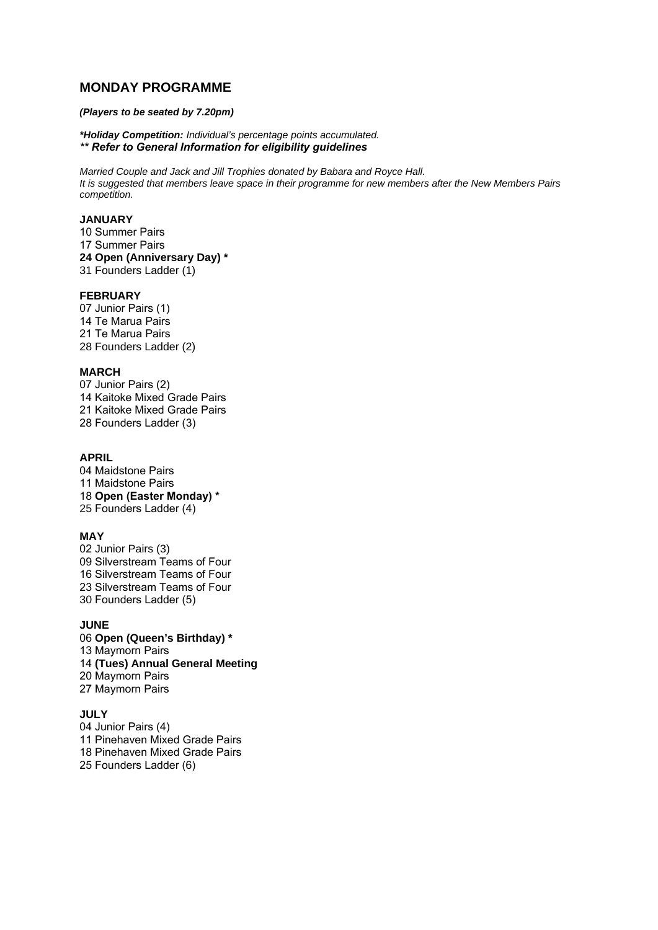# **MONDAY PROGRAMME**

### *(Players to be seated by 7.20pm)*

*\*Holiday Competition: Individual's percentage points accumulated. \*\* Refer to General Information for eligibility guidelines*

*Married Couple and Jack and Jill Trophies donated by Babara and Royce Hall. It is suggested that members leave space in their programme for new members after the New Members Pairs competition.*

#### **JANUARY**

10 Summer Pairs 17 Summer Pairs **24 Open (Anniversary Day) \*** 31 Founders Ladder (1)

### **FEBRUARY**

07 Junior Pairs (1) 14 Te Marua Pairs 21 Te Marua Pairs 28 Founders Ladder (2)

#### **MARCH**

07 Junior Pairs (2) 14 Kaitoke Mixed Grade Pairs 21 Kaitoke Mixed Grade Pairs 28 Founders Ladder (3)

# **APRIL**

04 Maidstone Pairs 11 Maidstone Pairs 18 **Open (Easter Monday) \*** 25 Founders Ladder (4)

#### **MAY**

02 Junior Pairs (3) 09 Silverstream Teams of Four 16 Silverstream Teams of Four 23 Silverstream Teams of Four 30 Founders Ladder (5)

### **JUNE**

06 **Open (Queen's Birthday) \*** 13 Maymorn Pairs 14 **(Tues) Annual General Meeting** 20 Maymorn Pairs 27 Maymorn Pairs

### **JULY**

04 Junior Pairs (4) 11 Pinehaven Mixed Grade Pairs 18 Pinehaven Mixed Grade Pairs 25 Founders Ladder (6)